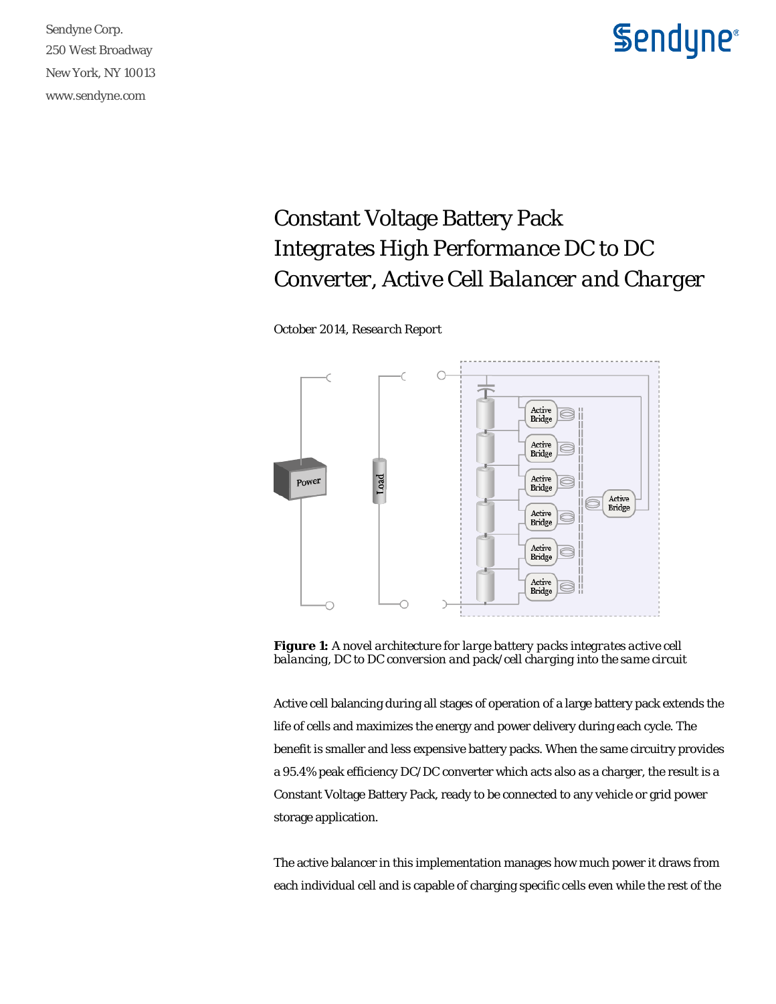Sendyne Corp. 250 West Broadway New York, NY 10013 www.sendyne.com

## **Sendyne**®

## Constant Voltage Battery Pack *Integrates High Performance DC to DC Converter, Active Cell Balancer and Charger*

*October 2014, Research Report* 



*Figure 1: A novel architecture for large battery packs integrates active cell balancing, DC to DC conversion and pack/cell charging into the same circuit* 

Active cell balancing during all stages of operation of a large battery pack extends the life of cells and maximizes the energy and power delivery during each cycle. The benefit is smaller and less expensive battery packs. When the same circuitry provides a 95.4% peak efficiency DC/DC converter which acts also as a charger, the result is a Constant Voltage Battery Pack, ready to be connected to any vehicle or grid power storage application.

The active balancer in this implementation manages how much power it draws from each individual cell and is capable of charging specific cells even while the rest of the